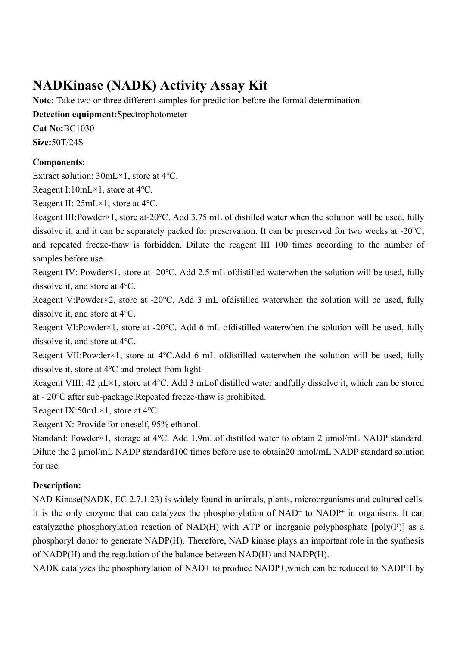# **NADKinase (NADK) Activity Assay Kit**

**Note:** Take two or three different samples for prediction before the formal determination.

**Detection equipment:**Spectrophotometer

**Cat No:**BC1030

**Size:**50T/24S

# **Components:**

Extract solution: 30mL×1, store at 4℃.

Reagent I:10mL×1, store at 4℃.

Reagent II: 25mL×1, store at 4℃.

Reagent III:Powder×1, store at-20℃. Add 3.75 mL of distilled water when the solution will be used, fully dissolve it, and it can be separately packed for preservation. It can be preserved for two weeks at -20℃, and repeated freeze-thaw is forbidden. Dilute the reagent III 100 times according to the number of samples before use.

Reagent IV: Powder×1, store at -20℃. Add 2.5 mL ofdistilled waterwhen the solution will be used, fully dissolve it, and store at 4℃.

Reagent V:Powder×2, store at -20℃, Add 3 mL ofdistilled waterwhen the solution will be used, fully dissolve it, and store at 4℃.

Reagent VI:Powder×1, store at -20℃. Add 6 mL ofdistilled waterwhen the solution will be used, fully dissolve it, and store at 4℃.

Reagent VII:Powder×1, store at 4℃.Add 6 mL ofdistilled waterwhen the solution will be used, fully dissolve it, store at 4℃ and protect from light.

Reagent VIII: 42 μL×1, store at 4℃. Add 3 mLof distilled water andfully dissolve it, which can be stored at - 20℃ after sub-package.Repeated freeze-thaw is prohibited.

Reagent IX:50mL×1, store at 4℃.

Reagent X: Provide for oneself, 95% ethanol.

Standard: Powder×1, storage at 4℃. Add 1.9mLof distilled water to obtain 2 μmol/mL NADP standard. Dilute the 2 μmol/mL NADP standard100 times before use to obtain20 nmol/mL NADP standard solution for use.

# **Description:**

NAD Kinase(NADK, EC 2.7.1.23) is widely found in animals, plants, microorganisms and cultured cells. It is the only enzyme that can catalyzes the phosphorylation of  $NAD<sup>+</sup>$  to  $NADP<sup>+</sup>$  in organisms. It can catalyzethe phosphorylation reaction of NAD(H) with ATP or inorganic polyphosphate [poly(P)] as a phosphoryl donor to generate NADP(H). Therefore, NAD kinase plays an important role in the synthesis of NADP(H) and the regulation of the balance between NAD(H) and NADP(H).

NADK catalyzes the phosphorylation of NAD+ to produce NADP+, which can be reduced to NADPH by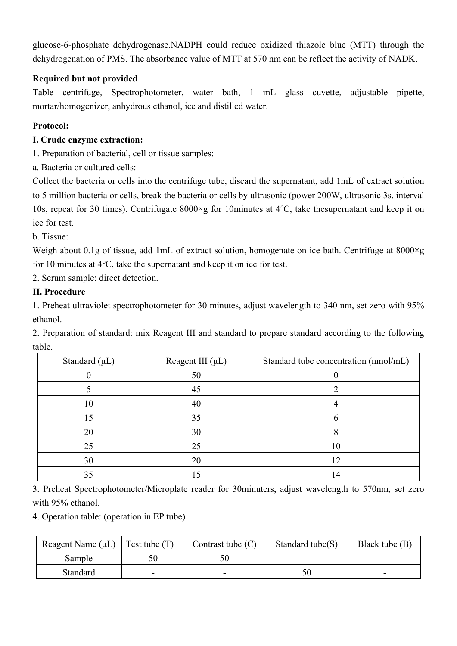glucose-6-phosphate dehydrogenase.NADPH could reduce oxidized thiazole blue (MTT) through the dehydrogenation of PMS. The absorbance value of MTT at 570 nm can be reflect the activity of NADK.

# **Required but not provided**

Table centrifuge, Spectrophotometer, water bath, 1 mL glass cuvette, adjustable pipette, mortar/homogenizer, anhydrous ethanol, ice and distilled water.

# **Protocol:**

# **I. Crude enzyme extraction:**

1. Preparation of bacterial, cell or tissue samples:

a. Bacteria or cultured cells:

Collect the bacteria or cells into the centrifuge tube, discard the supernatant, add 1mL of extract solution to 5 million bacteria or cells, break the bacteria or cells by ultrasonic (power 200W, ultrasonic 3s, interval 10s, repeat for 30 times). Centrifugate 8000×g for 10minutes at 4℃, take thesupernatant and keep it on ice for test.

b. Tissue:

Weigh about 0.1g of tissue, add 1mL of extract solution, homogenate on ice bath. Centrifuge at 8000×g for 10 minutes at 4℃, take the supernatant and keep it on ice for test.

2. Serum sample: direct detection.

# **II. Procedure**

1. Preheat ultraviolet spectrophotometer for 30 minutes, adjust wavelength to 340 nm, set zero with 95% ethanol.

2. Preparation of standard: mix Reagent III and standard to prepare standard according to the following table.

| Standard $(\mu L)$ | Reagent III $(\mu L)$ | Standard tube concentration (nmol/mL) |  |
|--------------------|-----------------------|---------------------------------------|--|
|                    | 50                    |                                       |  |
|                    | 45                    |                                       |  |
| 10                 | 40                    |                                       |  |
| 15                 | 35                    |                                       |  |
| 20                 | 30                    |                                       |  |
| 25                 | 25                    | 10                                    |  |
| 30                 | 20                    | 12                                    |  |
| 35                 |                       | 14                                    |  |

3. Preheat Spectrophotometer/Microplate reader for 30minuters, adjust wavelength to 570nm, set zero with 95% ethanol.

4. Operation table: (operation in EP tube)

| Reagent Name $(\mu L)$ | $\vert$ Test tube $(T)$ | Contrast tube $(C)$ | Standard tube $(S)$ | Black tube $(B)$ |
|------------------------|-------------------------|---------------------|---------------------|------------------|
| Sample                 |                         |                     |                     |                  |
| Standard               |                         |                     |                     |                  |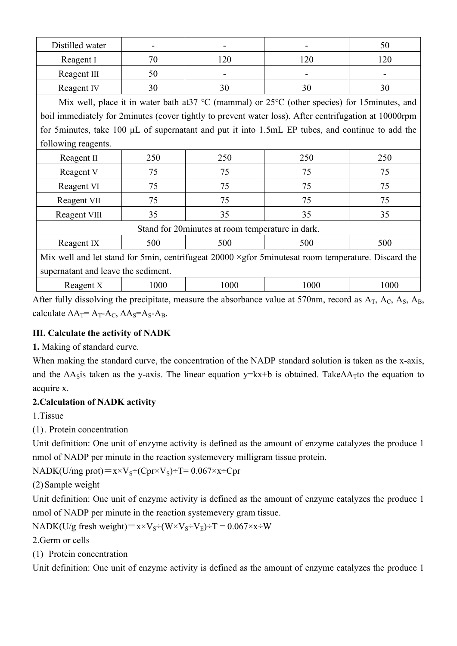| Distilled water                                                                                          |                                                                                                       |      |                                                                                                         | 50   |  |
|----------------------------------------------------------------------------------------------------------|-------------------------------------------------------------------------------------------------------|------|---------------------------------------------------------------------------------------------------------|------|--|
| Reagent I                                                                                                | 70                                                                                                    | 120  | 120                                                                                                     | 120  |  |
| Reagent III                                                                                              | 50                                                                                                    |      |                                                                                                         |      |  |
| Reagent IV                                                                                               | 30                                                                                                    | 30   | 30                                                                                                      | 30   |  |
| Mix well, place it in water bath at 37 °C (mammal) or $25^{\circ}$ C (other species) for 15 minutes, and |                                                                                                       |      |                                                                                                         |      |  |
|                                                                                                          | boil immediately for 2minutes (cover tightly to prevent water loss). After centrifugation at 10000rpm |      |                                                                                                         |      |  |
|                                                                                                          |                                                                                                       |      | for 5 minutes, take 100 $\mu$ L of supernatant and put it into 1.5 mL EP tubes, and continue to add the |      |  |
| following reagents.                                                                                      |                                                                                                       |      |                                                                                                         |      |  |
| Reagent II                                                                                               | 250                                                                                                   | 250  | 250                                                                                                     | 250  |  |
| Reagent V                                                                                                | 75                                                                                                    | 75   | 75                                                                                                      | 75   |  |
| Reagent VI                                                                                               | 75                                                                                                    | 75   | 75                                                                                                      | 75   |  |
| Reagent VII                                                                                              | 75                                                                                                    | 75   | 75                                                                                                      | 75   |  |
| Reagent VIII                                                                                             | 35                                                                                                    | 35   | 35                                                                                                      | 35   |  |
| Stand for 20 minutes at room temperature in dark.                                                        |                                                                                                       |      |                                                                                                         |      |  |
| Reagent IX                                                                                               | 500                                                                                                   | 500  | 500                                                                                                     | 500  |  |
| Mix well and let stand for 5min, centrifugeat 20000 × gfor 5minutesat room temperature. Discard the      |                                                                                                       |      |                                                                                                         |      |  |
| supernatant and leave the sediment.                                                                      |                                                                                                       |      |                                                                                                         |      |  |
| Reagent X                                                                                                | 1000                                                                                                  | 1000 | 1000                                                                                                    | 1000 |  |

After fully dissolving the precipitate, measure the absorbance value at 570nm, record as  $A_T$ ,  $A_C$ ,  $A_S$ ,  $A_B$ , calculate  $\Delta A_T = A_T - A_C$ ,  $\Delta A_S = A_S - A_B$ .

#### **III. Calculate the activity of NADK**

**1.** Making of standard curve.

When making the standard curve, the concentration of the NADP standard solution is taken as the x-axis, and the  $\Delta A$ sis taken as the y-axis. The linear equation y=kx+b is obtained. Take $\Delta A$ <sub>T</sub> to the equation to acquire x.

# **2.Calculation of NADK activity**

1.Tissue

(1) . Protein concentration

Unit definition: One unit of enzyme activity is defined as the amount of enzyme catalyzes the produce 1 nmol of NADP per minute in the reaction systemevery milligram tissue protein.

NADK(U/mg prot)= $x \times V_s \div (Cpr \times V_s) \div T = 0.067 \times x \div Cpr$ 

(2) Sample weight

Unit definition: One unit of enzyme activity is defined as the amount of enzyme catalyzes the produce 1 nmol of NADP per minute in the reaction systemevery gram tissue.

NADK(U/g fresh weight)= $x \times V_S \div (W \times V_S \div V_E) \div T = 0.067 \times x \div W$ 

2.Germ or cells

(1) Protein concentration

Unit definition: One unit of enzyme activity is defined as the amount of enzyme catalyzes the produce 1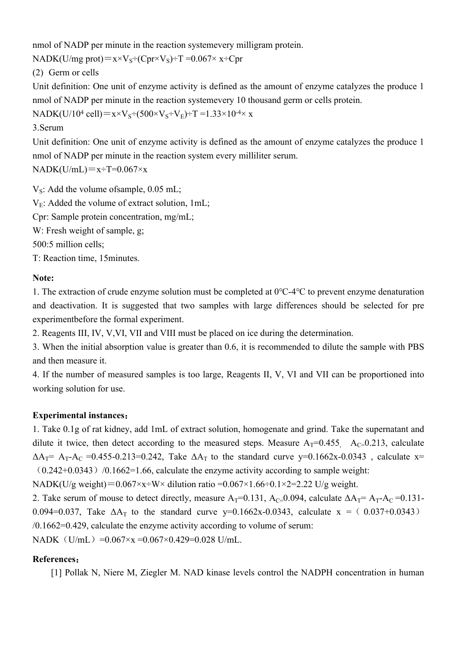nmol of NADP per minute in the reaction systemevery milligram protein.

NADK(U/mg prot)= $x \times V_s \div (Cpr \times V_s) \div T = 0.067 \times x \div Cpr$ 

(2) Germ or cells

Unit definition: One unit of enzyme activity is defined as the amount of enzyme catalyzes the produce 1 nmol of NADP per minute in the reaction systemevery 10 thousand germ or cells protein.

 $NADK(U/10^4 \text{ cell})=x\times V_S \div (500\times V_S \div V_E)+T=1.33\times 10^{-4}\times x$ 

#### 3.Serum

Unit definition: One unit of enzyme activity is defined as the amount of enzyme catalyzes the produce 1 nmol of NADP per minute in the reaction system every milliliter serum.

 $NADK(U/mL)=x+T=0.067\times x$ 

 $V_s$ : Add the volume ofsample, 0.05 mL;  $V_E$ : Added the volume of extract solution, 1mL;

Cpr: Sample protein concentration, mg/mL;

W: Fresh weight of sample, g;

500:5 million cells;

T: Reaction time, 15minutes.

# **Note:**

1. The extraction of crude enzyme solution must be completed at 0℃-4℃ to prevent enzyme denaturation and deactivation. It is suggested that two samples with large differences should be selected for pre experimentbefore the formal experiment.

2. Reagents III, IV, V,VI, VII and VIII must be placed on ice during the determination.

3. When the initial absorption value is greater than 0.6, it is recommended to dilute the sample with PBS and then measure it.

4. If the number of measured samples is too large, Reagents II, V, VI and VII can be proportioned into working solution for use.

#### **Experimental instances:**

1. Take 0.1g of rat kidney, add 1mL of extract solution, homogenate and grind. Take the supernatant and dilute it twice, then detect according to the measured steps. Measure  $A_T=0.455$ ,  $A_C=0.213$ , calculate  $\Delta A_T$ = A<sub>T</sub>-A<sub>C</sub> = 0.455-0.213=0.242, Take  $\Delta A_T$  to the standard curve y=0.1662x-0.0343, calculate x=  $(0.242+0.0343)$  /0.1662=1.66, calculate the enzyme activity according to sample weight:

NADK(U/g weight)= $0.067 \times x \div W \times$  dilution ratio = $0.067 \times 1.66 \div 0.1 \times 2 = 2.22$  U/g weight.

2. Take serum of mouse to detect directly, measure  $A_T=0.131$ ,  $A_C=0.094$ , calculate  $\Delta A_T=A_T-A_C=0.131$ -0.094=0.037, Take  $\Delta A_T$  to the standard curve y=0.1662x-0.0343, calculate x = (0.037+0.0343) /0.1662=0.429, calculate the enzyme activity according to volume of serum:

NADK $(U/mL) = 0.067×x = 0.067×0.429=0.028$  U/mL.

#### **References:**

[1] Pollak N, Niere M, Ziegler M. NAD kinase levels control the NADPH concentration in human